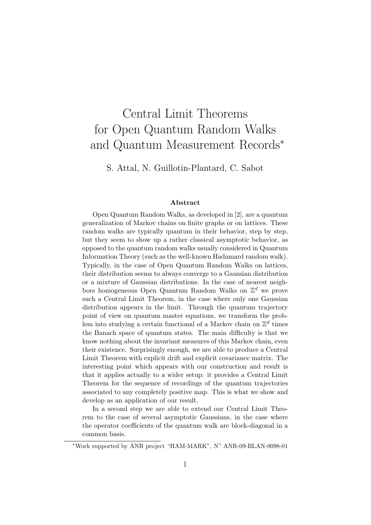# Central Limit Theorems for Open Quantum Random Walks and Quantum Measurement Records<sup>∗</sup>

S. Attal, N. Guillotin-Plantard, C. Sabot

#### Abstract

Open Quantum Random Walks, as developed in [2], are a quantum generalization of Markov chains on finite graphs or on lattices. These random walks are typically quantum in their behavior, step by step, but they seem to show up a rather classical asymptotic behavior, as opposed to the quantum random walks usually considered in Quantum Information Theory (such as the well-known Hadamard random walk). Typically, in the case of Open Quantum Random Walks on lattices, their distribution seems to always converge to a Gaussian distribution or a mixture of Gaussian distributions. In the case of nearest neighbors homogeneous Open Quantum Random Walks on  $\mathbb{Z}^d$  we prove such a Central Limit Theorem, in the case where only one Gaussian distribution appears in the limit. Through the quantum trajectory point of view on quantum master equations, we transform the problem into studying a certain functional of a Markov chain on  $\mathbb{Z}^d$  times the Banach space of quantum states. The main difficulty is that we know nothing about the invariant measures of this Markov chain, even their existence. Surprisingly enough, we are able to produce a Central Limit Theorem with explicit drift and explicit covariance matrix. The interesting point which appears with our construction and result is that it applies actually to a wider setup: it provides a Central Limit Theorem for the sequence of recordings of the quantum trajectories associated to any completely positive map. This is what we show and develop as an application of our result.

In a second step we are able to extend our Central Limit Theorem to the case of several asymptotic Gaussians, in the case where the operator coefficients of the quantum walk are block-diagonal in a common basis.

<sup>∗</sup>Work supported by ANR project "HAM-MARK", N◦ ANR-09-BLAN-0098-01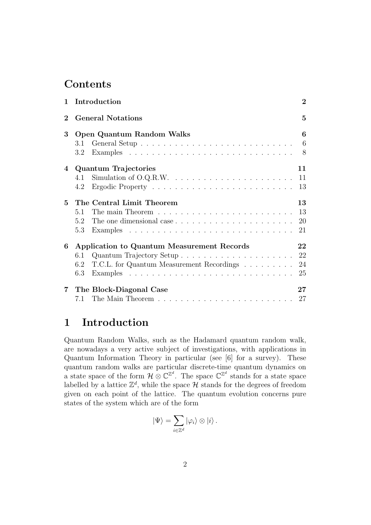### **Contents**

| $\mathbf{1}$ | Introduction                                                                            | $\overline{2}$  |
|--------------|-----------------------------------------------------------------------------------------|-----------------|
| $\mathbf 2$  | <b>General Notations</b>                                                                | 5               |
| 3            | Open Quantum Random Walks                                                               | 6               |
|              | 3.1                                                                                     | $6\phantom{.}6$ |
|              | 3.2                                                                                     | 8               |
| 4            | <b>Quantum Trajectories</b>                                                             | 11              |
|              | 4.1                                                                                     | 11              |
|              | 4.2                                                                                     | 13              |
| $\mathbf{5}$ | The Central Limit Theorem                                                               | 13              |
|              | The main Theorem $\ldots \ldots \ldots \ldots \ldots \ldots \ldots \ldots$<br>5.1       | 13              |
|              | The one dimensional case<br>5.2                                                         | 20              |
|              | 5.3                                                                                     | 21              |
| 6            | Application to Quantum Measurement Records                                              | 22              |
|              | 6.1                                                                                     | 22              |
|              | T.C.L. for Quantum Measurement Recordings<br>6.2                                        | 24              |
|              | Examples $\ldots \ldots \ldots \ldots \ldots \ldots \ldots \ldots \ldots \ldots$<br>6.3 | 25              |
|              | 7 The Block-Diagonal Case                                                               | $27\,$          |
|              | 7.1 The Main Theorem $\ldots \ldots \ldots \ldots \ldots \ldots \ldots \ldots 27$       |                 |

### 1 Introduction

Quantum Random Walks, such as the Hadamard quantum random walk, are nowadays a very active subject of investigations, with applications in Quantum Information Theory in particular (see [6] for a survey). These quantum random walks are particular discrete-time quantum dynamics on a state space of the form  $\mathcal{H} \otimes \mathbb{C}^{\mathbb{Z}^d}$ . The space  $\mathbb{C}^{\mathbb{Z}^d}$  stands for a state space labelled by a lattice  $\mathbb{Z}^d$ , while the space  $\mathcal H$  stands for the degrees of freedom given on each point of the lattice. The quantum evolution concerns pure states of the system which are of the form

$$
|\Psi\rangle = \sum_{i\in\mathbb{Z}^d} |\varphi_i\rangle \otimes |i\rangle.
$$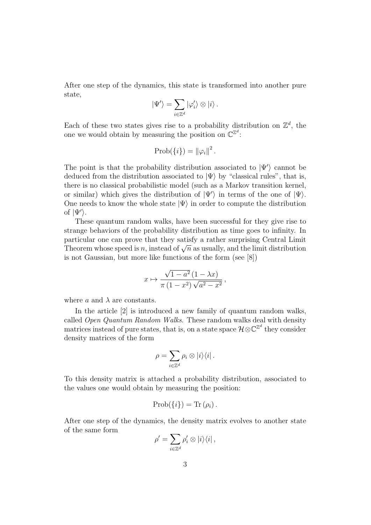After one step of the dynamics, this state is transformed into another pure state,

$$
|\Psi'\rangle = \sum_{i\in\mathbb{Z}^d} |\varphi'_i\rangle \otimes |i\rangle.
$$

Each of these two states gives rise to a probability distribution on  $\mathbb{Z}^d$ , the one we would obtain by measuring the position on  $\mathbb{C}^{\mathbb{Z}^d}$ :

$$
Prob({i}) = {\|\varphi_i\|^2}.
$$

The point is that the probability distribution associated to  $|\Psi'\rangle$  cannot be deduced from the distribution associated to  $|\Psi\rangle$  by "classical rules", that is, there is no classical probabilistic model (such as a Markov transition kernel, or similar) which gives the distribution of  $|\Psi'\rangle$  in terms of the one of  $|\Psi\rangle$ . One needs to know the whole state  $|\Psi\rangle$  in order to compute the distribution of  $|\Psi'\rangle$ .

These quantum random walks, have been successful for they give rise to strange behaviors of the probability distribution as time goes to infinity. In particular one can prove that they satisfy a rather surprising Central Limit particular one can prove that they satisfy a rather surprising Central Limit Theorem whose speed is n, instead of  $\sqrt{n}$  as usually, and the limit distribution is not Gaussian, but more like functions of the form (see [8])

$$
x \mapsto \frac{\sqrt{1-a^2}(1-\lambda x)}{\pi(1-x^2)\sqrt{a^2-x^2}},
$$

where a and  $\lambda$  are constants.

In the article [2] is introduced a new family of quantum random walks, called Open Quantum Random Walks. These random walks deal with density matrices instead of pure states, that is, on a state space  $\mathcal{H} \otimes \mathbb{C}^{\mathbb{Z}^d}$  they consider density matrices of the form

$$
\rho = \sum_{i \in \mathbb{Z}^d} \rho_i \otimes |i\rangle\langle i|.
$$

To this density matrix is attached a probability distribution, associated to the values one would obtain by measuring the position:

$$
Prob({i}) = Tr(\rho_i).
$$

After one step of the dynamics, the density matrix evolves to another state of the same form

$$
\rho' = \sum_{i \in \mathbb{Z}^d} \rho'_i \otimes |i\rangle\langle i|,
$$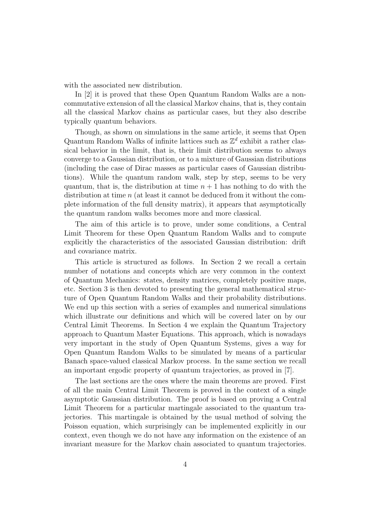with the associated new distribution.

In [2] it is proved that these Open Quantum Random Walks are a noncommutative extension of all the classical Markov chains, that is, they contain all the classical Markov chains as particular cases, but they also describe typically quantum behaviors.

Though, as shown on simulations in the same article, it seems that Open Quantum Random Walks of infinite lattices such as  $\mathbb{Z}^d$  exhibit a rather classical behavior in the limit, that is, their limit distribution seems to always converge to a Gaussian distribution, or to a mixture of Gaussian distributions (including the case of Dirac masses as particular cases of Gaussian distributions). While the quantum random walk, step by step, seems to be very quantum, that is, the distribution at time  $n + 1$  has nothing to do with the distribution at time  $n$  (at least it cannot be deduced from it without the complete information of the full density matrix), it appears that asymptotically the quantum random walks becomes more and more classical.

The aim of this article is to prove, under some conditions, a Central Limit Theorem for these Open Quantum Random Walks and to compute explicitly the characteristics of the associated Gaussian distribution: drift and covariance matrix.

This article is structured as follows. In Section 2 we recall a certain number of notations and concepts which are very common in the context of Quantum Mechanics: states, density matrices, completely positive maps, etc. Section 3 is then devoted to presenting the general mathematical structure of Open Quantum Random Walks and their probability distributions. We end up this section with a series of examples and numerical simulations which illustrate our definitions and which will be covered later on by our Central Limit Theorems. In Section 4 we explain the Quantum Trajectory approach to Quantum Master Equations. This approach, which is nowadays very important in the study of Open Quantum Systems, gives a way for Open Quantum Random Walks to be simulated by means of a particular Banach space-valued classical Markov process. In the same section we recall an important ergodic property of quantum trajectories, as proved in [7].

The last sections are the ones where the main theorems are proved. First of all the main Central Limit Theorem is proved in the context of a single asymptotic Gaussian distribution. The proof is based on proving a Central Limit Theorem for a particular martingale associated to the quantum trajectories. This martingale is obtained by the usual method of solving the Poisson equation, which surprisingly can be implemented explicitly in our context, even though we do not have any information on the existence of an invariant measure for the Markov chain associated to quantum trajectories.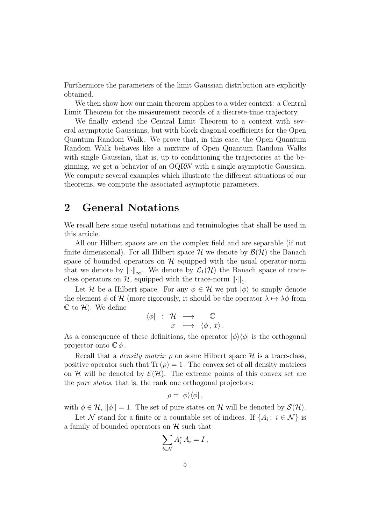Furthermore the parameters of the limit Gaussian distribution are explicitly obtained.

We then show how our main theorem applies to a wider context: a Central Limit Theorem for the measurement records of a discrete-time trajectory.

We finally extend the Central Limit Theorem to a context with several asymptotic Gaussians, but with block-diagonal coefficients for the Open Quantum Random Walk. We prove that, in this case, the Open Quantum Random Walk behaves like a mixture of Open Quantum Random Walks with single Gaussian, that is, up to conditioning the trajectories at the beginning, we get a behavior of an OQRW with a single asymptotic Gaussian. We compute several examples which illustrate the different situations of our theorems, we compute the associated asymptotic parameters.

### 2 General Notations

We recall here some useful notations and terminologies that shall be used in this article.

All our Hilbert spaces are on the complex field and are separable (if not finite dimensional). For all Hilbert space  $\mathcal H$  we denote by  $\mathcal B(\mathcal H)$  the Banach space of bounded operators on  $\mathcal H$  equipped with the usual operator-norm that we denote by  $\|\cdot\|_{\infty}$ . We denote by  $\mathcal{L}_1(\mathcal{H})$  the Banach space of traceclass operators on  $H$ , equipped with the trace-norm  $\lVert \cdot \rVert_1$ .

Let H be a Hilbert space. For any  $\phi \in \mathcal{H}$  we put  $|\phi\rangle$  to simply denote the element  $\phi$  of H (more rigorously, it should be the operator  $\lambda \mapsto \lambda \phi$  from  $\mathbb C$  to  $\mathcal H$ ). We define

$$
\begin{array}{rcl}\n\langle \phi | & : & \mathcal{H} & \longrightarrow & \mathbb{C} \\
x & \longmapsto & \langle \phi \, , \, x \rangle \, .\n\end{array}
$$

As a consequence of these definitions, the operator  $|\phi\rangle\langle\phi|$  is the orthogonal projector onto  $\mathbb{C}\phi$ .

Recall that a *density matrix*  $\rho$  on some Hilbert space  $\mathcal H$  is a trace-class, positive operator such that  $\text{Tr}(\rho) = 1$ . The convex set of all density matrices on H will be denoted by  $\mathcal{E}(\mathcal{H})$ . The extreme points of this convex set are the *pure states*, that is, the rank one orthogonal projectors:

$$
\rho = |\phi\rangle\langle\phi| \, ,
$$

with  $\phi \in \mathcal{H}$ ,  $\|\phi\| = 1$ . The set of pure states on H will be denoted by  $\mathcal{S}(\mathcal{H})$ .

Let N stand for a finite or a countable set of indices. If  $\{A_i; i \in \mathcal{N}\}\$ is a family of bounded operators on  $\mathcal H$  such that

$$
\sum_{i\in\mathcal{N}}A_i^*A_i=I\,,
$$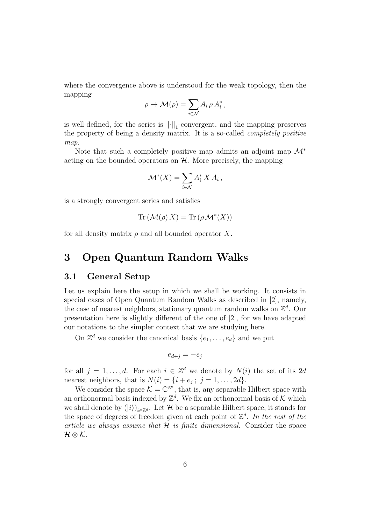where the convergence above is understood for the weak topology, then the mapping

$$
\rho \mapsto \mathcal{M}(\rho) = \sum_{i \in \mathcal{N}} A_i \, \rho \, A_i^*,
$$

is well-defined, for the series is  $\lVert \cdot \rVert_1$ -convergent, and the mapping preserves the property of being a density matrix. It is a so-called completely positive map.

Note that such a completely positive map admits an adjoint map  $\mathcal{M}^*$ acting on the bounded operators on  $H$ . More precisely, the mapping

$$
\mathcal{M}^*(X) = \sum_{i \in \mathcal{N}} A_i^* X A_i \,,
$$

is a strongly convergent series and satisfies

$$
\operatorname{Tr}(\mathcal{M}(\rho) X) = \operatorname{Tr}(\rho \mathcal{M}^*(X))
$$

for all density matrix  $\rho$  and all bounded operator X.

### 3 Open Quantum Random Walks

#### 3.1 General Setup

Let us explain here the setup in which we shall be working. It consists in special cases of Open Quantum Random Walks as described in [2], namely, the case of nearest neighbors, stationary quantum random walks on  $\mathbb{Z}^d$ . Our presentation here is slightly different of the one of [2], for we have adapted our notations to the simpler context that we are studying here.

On  $\mathbb{Z}^d$  we consider the canonical basis  $\{e_1, \ldots, e_d\}$  and we put

$$
e_{d+j} = -e_j
$$

for all  $j = 1, ..., d$ . For each  $i \in \mathbb{Z}^d$  we denote by  $N(i)$  the set of its 2d nearest neighbors, that is  $N(i) = \{i + e_j; j = 1, ..., 2d\}.$ 

We consider the space  $\mathcal{K} = \mathbb{C}^{\mathbb{Z}^d}$ , that is, any separable Hilbert space with an orthonormal basis indexed by  $\mathbb{Z}^d$ . We fix an orthonormal basis of K which we shall denote by  $(|i\rangle)_{i \in \mathbb{Z}^d}$ . Let  $\mathcal H$  be a separable Hilbert space, it stands for the space of degrees of freedom given at each point of  $\mathbb{Z}^d$ . In the rest of the article we always assume that  $H$  is finite dimensional. Consider the space  $\mathcal{H}\otimes\mathcal{K}.$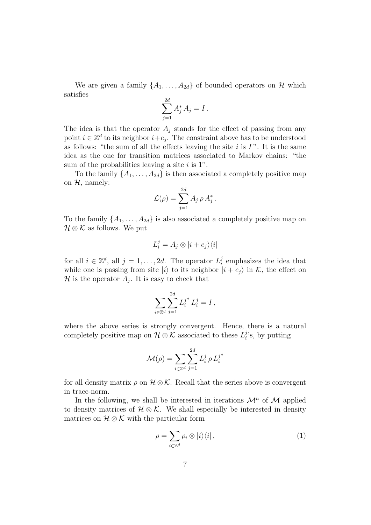We are given a family  $\{A_1, \ldots, A_{2d}\}\$  of bounded operators on H which satisfies

$$
\sum_{j=1}^{2d} A_j^* A_j = I.
$$

The idea is that the operator  $A_j$  stands for the effect of passing from any point  $i \in \mathbb{Z}^d$  to its neighbor  $i+e_j$ . The constraint above has to be understood as follows: "the sum of all the effects leaving the site  $i$  is  $I$ ". It is the same idea as the one for transition matrices associated to Markov chains: "the sum of the probabilities leaving a site  $i$  is 1".

To the family  $\{A_1, \ldots, A_{2d}\}\$ is then associated a completely positive map on  $H$ , namely:

$$
\mathcal{L}(\rho) = \sum_{j=1}^{2d} A_j \, \rho \, A_j^* \,.
$$

To the family  $\{A_1, \ldots, A_{2d}\}\$ is also associated a completely positive map on  $\mathcal{H} \otimes \mathcal{K}$  as follows. We put

$$
L_i^j = A_j \otimes |i + e_j\rangle\langle i|
$$

for all  $i \in \mathbb{Z}^d$ , all  $j = 1, \ldots, 2d$ . The operator  $L_i^j$  $i$ <sup> $j$ </sup> emphasizes the idea that while one is passing from site  $|i\rangle$  to its neighbor  $|i + e_i\rangle$  in K, the effect on  $\mathcal H$  is the operator  $A_j$ . It is easy to check that

$$
\sum_{i \in \mathbb{Z}^d} \sum_{j=1}^{2d} L_i^{j^*} L_i^j = I \,,
$$

where the above series is strongly convergent. Hence, there is a natural completely positive map on  $\mathcal{H} \otimes \mathcal{K}$  associated to these  $L_i^j$  $i$ 's, by putting

$$
\mathcal{M}(\rho) = \sum_{i \in \mathbb{Z}^d} \sum_{j=1}^{2d} L_i^j \, \rho \, L_i^{j^*}
$$

for all density matrix  $\rho$  on  $\mathcal{H} \otimes \mathcal{K}$ . Recall that the series above is convergent in trace-norm.

In the following, we shall be interested in iterations  $\mathcal{M}^n$  of  $\mathcal M$  applied to density matrices of  $\mathcal{H} \otimes \mathcal{K}$ . We shall especially be interested in density matrices on  $\mathcal{H} \otimes \mathcal{K}$  with the particular form

$$
\rho = \sum_{i \in \mathbb{Z}^d} \rho_i \otimes |i\rangle\langle i| \,,\tag{1}
$$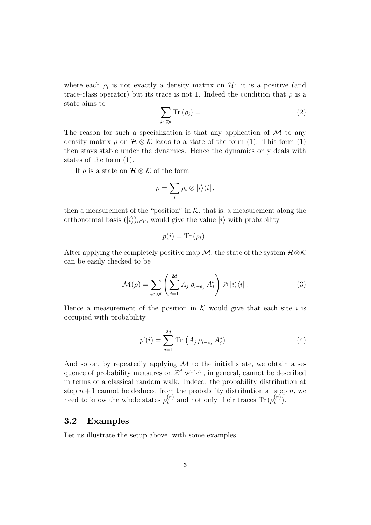where each  $\rho_i$  is not exactly a density matrix on  $\mathcal{H}$ : it is a positive (and trace-class operator) but its trace is not 1. Indeed the condition that  $\rho$  is a state aims to

$$
\sum_{i \in \mathbb{Z}^d} \text{Tr} \left( \rho_i \right) = 1 \,. \tag{2}
$$

The reason for such a specialization is that any application of  $\mathcal M$  to any density matrix  $\rho$  on  $\mathcal{H} \otimes \mathcal{K}$  leads to a state of the form (1). This form (1) then stays stable under the dynamics. Hence the dynamics only deals with states of the form (1).

If  $\rho$  is a state on  $\mathcal{H} \otimes \mathcal{K}$  of the form

$$
\rho = \sum_i \rho_i \otimes |i\rangle\langle i| \,,
$$

then a measurement of the "position" in  $K$ , that is, a measurement along the orthonormal basis  $(|i\rangle)_{i\in\mathcal{V}}$ , would give the value  $|i\rangle$  with probability

$$
p(i) = \text{Tr}(\rho_i).
$$

After applying the completely positive map M, the state of the system  $\mathcal{H}\otimes\mathcal{K}$ can be easily checked to be

$$
\mathcal{M}(\rho) = \sum_{i \in \mathbb{Z}^d} \left( \sum_{j=1}^{2d} A_j \, \rho_{i-e_j} \, A_j^* \right) \otimes |i\rangle\langle i| \,. \tag{3}
$$

Hence a measurement of the position in  $K$  would give that each site i is occupied with probability

$$
p'(i) = \sum_{j=1}^{2d} \text{Tr} \left( A_j \, \rho_{i-e_j} \, A_j^* \right) \,. \tag{4}
$$

And so on, by repeatedly applying  $M$  to the initial state, we obtain a sequence of probability measures on  $\mathbb{Z}^d$  which, in general, cannot be described in terms of a classical random walk. Indeed, the probability distribution at step  $n+1$  cannot be deduced from the probability distribution at step n, we need to know the whole states  $\rho_i^{(n)}$  $\binom{n}{i}$  and not only their traces Tr  $(\rho_i^{(n)})$  $\binom{n}{i}$ .

#### 3.2 Examples

Let us illustrate the setup above, with some examples.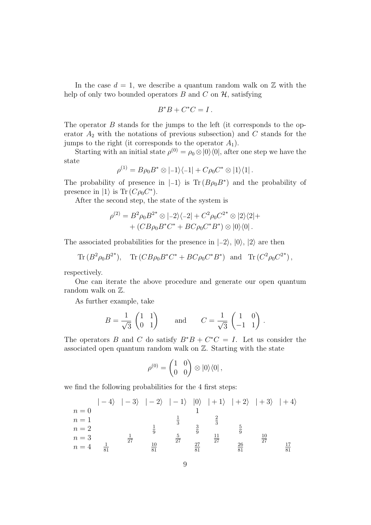In the case  $d = 1$ , we describe a quantum random walk on  $\mathbb Z$  with the help of only two bounded operators B and C on  $\mathcal{H}$ , satisfying

$$
B^*B + C^*C = I.
$$

The operator B stands for the jumps to the left (it corresponds to the operator  $A_2$  with the notations of previous subsection) and C stands for the jumps to the right (it corresponds to the operator  $A_1$ ).

Starting with an initial state  $\rho^{(0)} = \rho_0 \otimes |0\rangle\langle 0|$ , after one step we have the state

$$
\rho^{(1)} = B\rho_0 B^* \otimes | -1 \rangle \langle -1 | + C\rho_0 C^* \otimes | 1 \rangle \langle 1 |.
$$

The probability of presence in  $|-1\rangle$  is Tr  $(B\rho_0 B^*)$  and the probability of presence in  $|1\rangle$  is Tr  $(C\rho_0 C^*)$ .

After the second step, the state of the system is

$$
\rho^{(2)} = B^2 \rho_0 B^{2^*} \otimes | -2 \rangle \langle -2 | + C^2 \rho_0 C^{2^*} \otimes | 2 \rangle \langle 2 | +
$$
  
+  $(CB \rho_0 B^* C^* + BC \rho_0 C^* B^*) \otimes | 0 \rangle \langle 0 |.$ 

The associated probabilities for the presence in  $|-2\rangle$ ,  $|0\rangle$ ,  $|2\rangle$  are then

 $\text{Tr} (B^2 \rho_0 B^2^*$ ),  $\text{Tr}(CB\rho_0 B^* C^* + BC\rho_0 C^* B^*)$  and  $\text{Tr}(C^2 \rho_0 C^{2^*})$ ,

respectively.

One can iterate the above procedure and generate our open quantum random walk on  $\mathbb{Z}$ .

As further example, take

$$
B = \frac{1}{\sqrt{3}} \begin{pmatrix} 1 & 1 \\ 0 & 1 \end{pmatrix} \quad \text{and} \quad C = \frac{1}{\sqrt{3}} \begin{pmatrix} 1 & 0 \\ -1 & 1 \end{pmatrix}.
$$

The operators B and C do satisfy  $B^*B + C^*C = I$ . Let us consider the associated open quantum random walk on Z. Starting with the state

$$
\rho^{(0)} = \begin{pmatrix} 1 & 0 \\ 0 & 0 \end{pmatrix} \otimes |0\rangle\langle 0| ,
$$

we find the following probabilities for the 4 first steps:

$$
n = 0
$$
\n
$$
n = 0
$$
\n
$$
n = 1
$$
\n
$$
n = 2
$$
\n
$$
n = 3
$$
\n
$$
n = 4
$$
\n
$$
\frac{1}{3}
$$
\n
$$
\frac{1}{3}
$$
\n
$$
\frac{5}{27}
$$
\n
$$
\frac{10}{81}
$$
\n
$$
\frac{27}{81}
$$
\n
$$
\frac{27}{81}
$$
\n
$$
\frac{27}{81}
$$
\n
$$
\frac{27}{81}
$$
\n
$$
\frac{27}{81}
$$
\n
$$
\frac{27}{81}
$$
\n
$$
\frac{27}{81}
$$
\n
$$
\frac{27}{81}
$$
\n
$$
\frac{27}{81}
$$
\n
$$
\frac{26}{81}
$$
\n
$$
\frac{17}{81}
$$
\n
$$
\frac{17}{81}
$$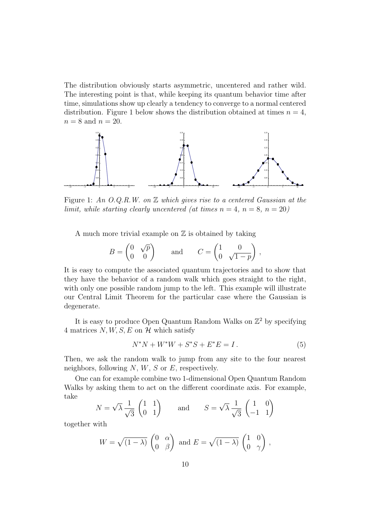The distribution obviously starts asymmetric, uncentered and rather wild. The interesting point is that, while keeping its quantum behavior time after time, simulations show up clearly a tendency to converge to a normal centered distribution. Figure 1 below shows the distribution obtained at times  $n = 4$ ,  $n = 8$  and  $n = 20$ .



Figure 1: An  $O.Q.R.W.$  on  $\mathbb Z$  which gives rise to a centered Gaussian at the limit, while starting clearly uncentered (at times  $n = 4$ ,  $n = 8$ ,  $n = 20$ )

A much more trivial example on  $\mathbb Z$  is obtained by taking

$$
B = \begin{pmatrix} 0 & \sqrt{p} \\ 0 & 0 \end{pmatrix} \quad \text{and} \quad C = \begin{pmatrix} 1 & 0 \\ 0 & \sqrt{1-p} \end{pmatrix},
$$

It is easy to compute the associated quantum trajectories and to show that they have the behavior of a random walk which goes straight to the right, with only one possible random jump to the left. This example will illustrate our Central Limit Theorem for the particular case where the Gaussian is degenerate.

It is easy to produce Open Quantum Random Walks on  $\mathbb{Z}^2$  by specifying 4 matrices  $N, W, S, E$  on  $\mathcal{H}$  which satisfy

$$
N^*N + W^*W + S^*S + E^*E = I.
$$
 (5)

Then, we ask the random walk to jump from any site to the four nearest neighbors, following  $N, W, S$  or  $E$ , respectively.

One can for example combine two 1-dimensional Open Quantum Random Walks by asking them to act on the different coordinate axis. For example, take

$$
N = \sqrt{\lambda} \frac{1}{\sqrt{3}} \begin{pmatrix} 1 & 1 \\ 0 & 1 \end{pmatrix} \quad \text{and} \quad S = \sqrt{\lambda} \frac{1}{\sqrt{3}} \begin{pmatrix} 1 & 0 \\ -1 & 1 \end{pmatrix}
$$

together with

$$
W = \sqrt{(1 - \lambda)} \begin{pmatrix} 0 & \alpha \\ 0 & \beta \end{pmatrix} \text{ and } E = \sqrt{(1 - \lambda)} \begin{pmatrix} 1 & 0 \\ 0 & \gamma \end{pmatrix},
$$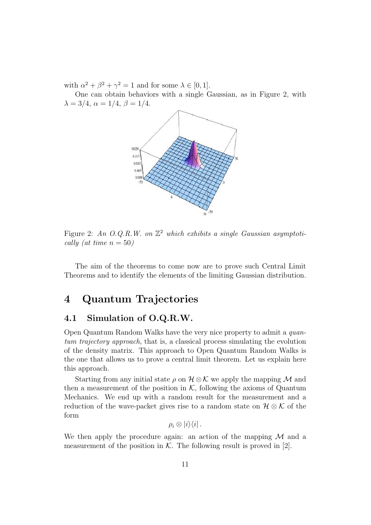with  $\alpha^2 + \beta^2 + \gamma^2 = 1$  and for some  $\lambda \in [0, 1]$ .

One can obtain behaviors with a single Gaussian, as in Figure 2, with  $\lambda = 3/4, \alpha = 1/4, \beta = 1/4.$ 



Figure 2: An O.Q.R.W. on  $\mathbb{Z}^2$  which exhibits a single Gaussian asymptotically (at time  $n = 50$ )

The aim of the theorems to come now are to prove such Central Limit Theorems and to identify the elements of the limiting Gaussian distribution.

### 4 Quantum Trajectories

#### 4.1 Simulation of O.Q.R.W.

Open Quantum Random Walks have the very nice property to admit a quantum trajectory approach, that is, a classical process simulating the evolution of the density matrix. This approach to Open Quantum Random Walks is the one that allows us to prove a central limit theorem. Let us explain here this approach.

Starting from any initial state  $\rho$  on  $\mathcal{H} \otimes \mathcal{K}$  we apply the mapping M and then a measurement of the position in  $K$ , following the axioms of Quantum Mechanics. We end up with a random result for the measurement and a reduction of the wave-packet gives rise to a random state on  $\mathcal{H} \otimes \mathcal{K}$  of the form

 $\rho_i \otimes |i\rangle\langle i|$ .

We then apply the procedure again: an action of the mapping  $\mathcal M$  and a measurement of the position in  $K$ . The following result is proved in [2].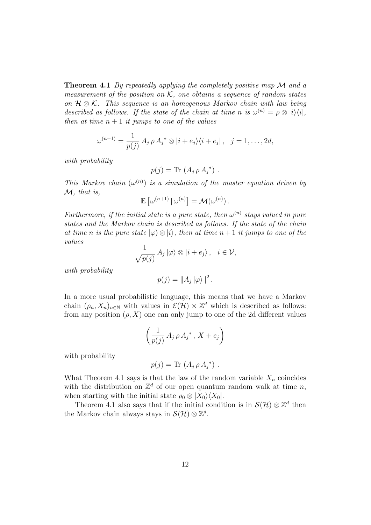**Theorem 4.1** By repeatedly applying the completely positive map  $\mathcal M$  and a measurement of the position on  $K$ , one obtains a sequence of random states on  $\mathcal{H} \otimes \mathcal{K}$ . This sequence is an homogenous Markov chain with law being described as follows. If the state of the chain at time n is  $\omega^{(n)} = \rho \otimes |i\rangle\langle i|$ , then at time  $n + 1$  it jumps to one of the values

$$
\omega^{(n+1)} = \frac{1}{p(j)} A_j \rho A_j^* \otimes |i + e_j\rangle\langle i + e_j|, \quad j = 1, ..., 2d,
$$

with probability

$$
p(j) = \text{Tr} (A_j \rho A_j^*) .
$$

This Markov chain  $(\omega^{(n)})$  is a simulation of the master equation driven by M, that is,

$$
\mathbb{E}\left[\omega^{(n+1)}\,|\,\omega^{(n)}\right]=\mathcal{M}(\omega^{(n)})\,.
$$

Furthermore, if the initial state is a pure state, then  $\omega^{(n)}$  stays valued in pure states and the Markov chain is described as follows. If the state of the chain at time n is the pure state  $|\varphi\rangle \otimes |i\rangle$ , then at time  $n+1$  it jumps to one of the values

$$
\frac{1}{\sqrt{p(j)}} A_j |\varphi\rangle \otimes |i + e_j\rangle, \quad i \in \mathcal{V},
$$

with probability

$$
p(j) = ||A_j||\varphi\rangle||^2.
$$

In a more usual probabilistic language, this means that we have a Markov chain  $(\rho_n, X_n)_{n \in \mathbb{N}}$  with values in  $\mathcal{E}(\mathcal{H}) \times \mathbb{Z}^d$  which is described as follows: from any position  $(\rho, X)$  one can only jump to one of the 2d different values

$$
\left(\frac{1}{p(j)}\,A_j\,\rho\,A_j^*\,,\,X+e_j\right)
$$

with probability

$$
p(j) = \text{Tr} (A_j \rho A_j^*) .
$$

What Theorem 4.1 says is that the law of the random variable  $X_n$  coincides with the distribution on  $\mathbb{Z}^d$  of our open quantum random walk at time n, when starting with the initial state  $\rho_0 \otimes |X_0\rangle \langle X_0|$ .

Theorem 4.1 also says that if the initial condition is in  $\mathcal{S}(\mathcal{H})\otimes\mathbb{Z}^d$  then the Markov chain always stays in  $\mathcal{S}(\mathcal{H})\otimes\mathbb{Z}^d$ .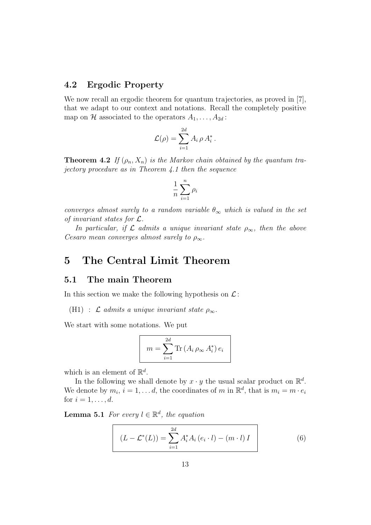#### 4.2 Ergodic Property

We now recall an ergodic theorem for quantum trajectories, as proved in [7], that we adapt to our context and notations. Recall the completely positive map on H associated to the operators  $A_1, \ldots, A_{2d}$ :

$$
\mathcal{L}(\rho) = \sum_{i=1}^{2d} A_i \rho A_i^*.
$$

**Theorem 4.2** If  $(\rho_n, X_n)$  is the Markov chain obtained by the quantum trajectory procedure as in Theorem 4.1 then the sequence

$$
\frac{1}{n}\sum_{i=1}^n \rho_i
$$

converges almost surely to a random variable  $\theta_{\infty}$  which is valued in the set of invariant states for  $\mathcal{L}$ .

In particular, if  $\mathcal L$  admits a unique invariant state  $\rho_{\infty}$ , then the above Cesaro mean converges almost surely to  $\rho_{\infty}$ .

### 5 The Central Limit Theorem

#### 5.1 The main Theorem

In this section we make the following hypothesis on  $\mathcal{L}$ :

(H1) :  $\mathcal L$  admits a unique invariant state  $\rho_{\infty}$ .

We start with some notations. We put

$$
m = \sum_{i=1}^{2d} \text{Tr}\left(A_i \rho_{\infty} A_i^*\right) e_i
$$

which is an element of  $\mathbb{R}^d$ .

In the following we shall denote by  $x \cdot y$  the usual scalar product on  $\mathbb{R}^d$ . We denote by  $m_i$ ,  $i = 1, \ldots d$ , the coordinates of m in  $\mathbb{R}^d$ , that is  $m_i = m \cdot e_i$ for  $i = 1, \ldots, d$ .

**Lemma 5.1** For every  $l \in \mathbb{R}^d$ , the equation

$$
(L - \mathcal{L}^*(L)) = \sum_{i=1}^{2d} A_i^* A_i (e_i \cdot l) - (m \cdot l) I
$$
 (6)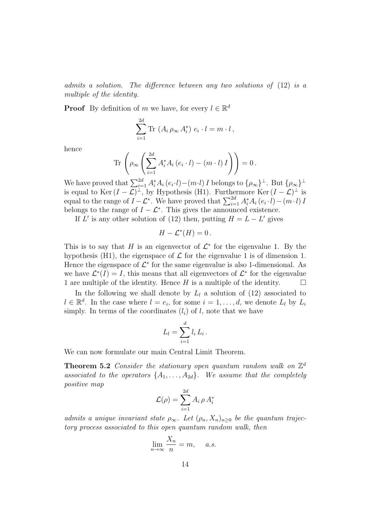admits a solution. The difference between any two solutions of (12) is a multiple of the identity.

**Proof** By definition of m we have, for every  $l \in \mathbb{R}^d$ 

$$
\sum_{i=1}^{2d} \text{Tr} \left( A_i \rho_{\infty} A_i^* \right) e_i \cdot l = m \cdot l \,,
$$

hence

$$
\operatorname{Tr}\left(\rho_{\infty}\left(\sum_{i=1}^{2d}A_i^*A_i\left(e_i\cdot l\right)-\left(m\cdot l\right)I\right)\right)=0.
$$

We have proved that  $\sum_{i=1}^{2d} A_i^* A_i (e_i \cdot l) - (m \cdot l) I$  belongs to  $\{\rho_\infty\}^{\perp}$ . But  $\{\rho_\infty\}^{\perp}$ is equal to Ker  $(I-\mathcal{L})^{\perp}$ , by Hypothesis (H1). Furthermore Ker  $(I-\mathcal{L})^{\perp}$  is equal to the range of  $I - \mathcal{L}^*$ . We have proved that  $\sum_{i=1}^{2d} A_i^* A_i (e_i \cdot l) - (m \cdot l) I$ belongs to the range of  $I - \mathcal{L}^*$ . This gives the announced existence.

If L' is any other solution of (12) then, putting  $H = L - L'$  gives

$$
H - \mathcal{L}^*(H) = 0.
$$

This is to say that H is an eigenvector of  $\mathcal{L}^*$  for the eigenvalue 1. By the hypothesis (H1), the eigenspace of  $\mathcal L$  for the eigenvalue 1 is of dimension 1. Hence the eigenspace of  $\mathcal{L}^*$  for the same eigenvalue is also 1-dimensional. As we have  $\mathcal{L}^*(I) = I$ , this means that all eigenvectors of  $\mathcal{L}^*$  for the eigenvalue 1 are multiple of the identity. Hence H is a multiple of the identity.  $\Box$ 

In the following we shall denote by  $L_l$  a solution of (12) associated to  $l \in \mathbb{R}^d$ . In the case where  $l = e_i$ , for some  $i = 1, \ldots, d$ , we denote  $L_l$  by  $L_i$ simply. In terms of the coordinates  $(l_i)$  of l, note that we have

$$
L_l = \sum_{i=1}^d l_i L_i.
$$

We can now formulate our main Central Limit Theorem.

**Theorem 5.2** Consider the stationary open quantum random walk on  $\mathbb{Z}^d$ associated to the operators  $\{A_1, \ldots, A_{2d}\}$ . We assume that the completely positive map

$$
\mathcal{L}(\rho) = \sum_{i=1}^{2d} A_i \, \rho \, A_i^*
$$

admits a unique invariant state  $\rho_{\infty}$ . Let  $(\rho_n, X_n)_{n\geq 0}$  be the quantum trajectory process associated to this open quantum random walk, then

$$
\lim_{n \to \infty} \frac{X_n}{n} = m, \quad a.s.
$$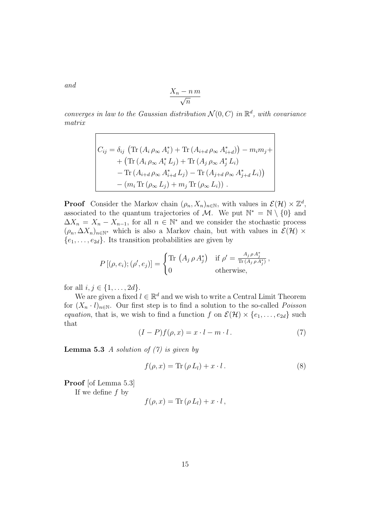$$
\frac{X_n - n\,m}{\sqrt{n}}
$$

converges in law to the Gaussian distribution  $\mathcal{N}(0, C)$  in  $\mathbb{R}^d$ , with covariance matrix

$$
C_{ij} = \delta_{ij} \left( \text{Tr} \left( A_i \rho_{\infty} A_i^* \right) + \text{Tr} \left( A_{i+d} \rho_{\infty} A_{i+d}^* \right) \right) - m_i m_j + + \left( \text{Tr} \left( A_i \rho_{\infty} A_i^* L_j \right) + \text{Tr} \left( A_j \rho_{\infty} A_j^* L_i \right) - \text{Tr} \left( A_{i+d} \rho_{\infty} A_{i+d}^* L_j \right) - \text{Tr} \left( A_{j+d} \rho_{\infty} A_{j+d}^* L_i \right) \right) - \left( m_i \text{Tr} \left( \rho_{\infty} L_j \right) + m_j \text{Tr} \left( \rho_{\infty} L_i \right) \right) .
$$

**Proof** Consider the Markov chain  $(\rho_n, X_n)_{n \in \mathbb{N}}$ , with values in  $\mathcal{E}(\mathcal{H}) \times \mathbb{Z}^d$ , associated to the quantum trajectories of M. We put  $\mathbb{N}^* = \mathbb{N} \setminus \{0\}$  and  $\Delta X_n = X_n - X_{n-1}$ , for all  $n \in \mathbb{N}^*$  and we consider the stochastic process  $(\rho_n, \Delta X_n)_{n \in \mathbb{N}^*}$  which is also a Markov chain, but with values in  $\mathcal{E}(\mathcal{H}) \times$  $\{e_1, \ldots, e_{2d}\}.$  Its transition probabilities are given by

$$
P\left[(\rho,e_i);(\rho',e_j)\right] = \begin{cases} \text{Tr}\,\left(A_j\,\rho\,A_j^*\right) & \text{if } \rho' = \frac{A_j\,\rho\,A_j^*}{\text{Tr}\,(A_j\,\rho\,A_j^*)},\\ 0 & \text{otherwise}, \end{cases}
$$

for all  $i, j \in \{1, ..., 2d\}$ .

We are given a fixed  $l \in \mathbb{R}^d$  and we wish to write a Central Limit Theorem for  $(X_n \cdot l)_{n \in \mathbb{N}}$ . Our first step is to find a solution to the so-called *Poisson* equation, that is, we wish to find a function f on  $\mathcal{E}(\mathcal{H}) \times \{e_1, \ldots, e_{2d}\}\$  such that

$$
(I - P)f(\rho, x) = x \cdot l - m \cdot l. \tag{7}
$$

**Lemma 5.3** A solution of  $(7)$  is given by

$$
f(\rho, x) = \text{Tr}(\rho L_l) + x \cdot l. \tag{8}
$$

Proof [of Lemma 5.3]

If we define  $f$  by

$$
f(\rho, x) = \text{Tr}(\rho L_l) + x \cdot l \,,
$$

and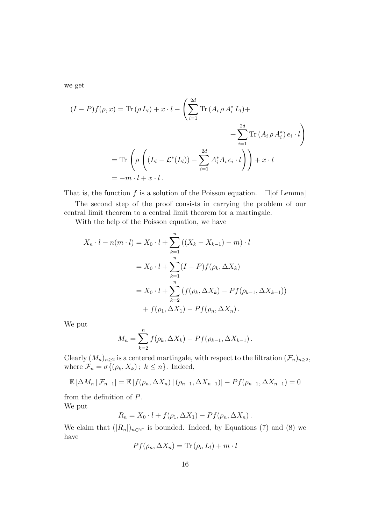we get

$$
(I - P)f(\rho, x) = \text{Tr}(\rho L_l) + x \cdot l - \left(\sum_{i=1}^{2d} \text{Tr}(A_i \rho A_i^* L_l) + \sum_{i=1}^{2d} \text{Tr}(A_i \rho A_i^*) e_i \cdot l\right)
$$

$$
= \text{Tr}\left(\rho \left((L_l - \mathcal{L}^*(L_l)) - \sum_{i=1}^{2d} A_i^* A_i e_i \cdot l\right)\right) + x \cdot l
$$

$$
= -m \cdot l + x \cdot l.
$$

That is, the function f is a solution of the Poisson equation.  $\Box$  [of Lemma] The second step of the proof consists in carrying the problem of our central limit theorem to a central limit theorem for a martingale.

With the help of the Poisson equation, we have

$$
X_n \cdot l - n(m \cdot l) = X_0 \cdot l + \sum_{k=1}^n ((X_k - X_{k-1}) - m) \cdot l
$$
  
=  $X_0 \cdot l + \sum_{k=1}^n (I - P) f(\rho_k, \Delta X_k)$   
=  $X_0 \cdot l + \sum_{k=2}^n (f(\rho_k, \Delta X_k) - P f(\rho_{k-1}, \Delta X_{k-1}))$   
+  $f(\rho_1, \Delta X_1) - P f(\rho_n, \Delta X_n)$ .

We put

$$
M_n = \sum_{k=2}^n f(\rho_k, \Delta X_k) - Pf(\rho_{k-1}, \Delta X_{k-1}).
$$

Clearly  $(M_n)_{n\geq 2}$  is a centered martingale, with respect to the filtration  $(\mathcal{F}_n)_{n\geq 2}$ , where  $\mathcal{F}_n = \sigma\{(\rho_k, X_k); k \leq n\}$ . Indeed,

$$
\mathbb{E}\left[\Delta M_n \,|\, \mathcal{F}_{n-1}\right] = \mathbb{E}\left[f(\rho_n, \Delta X_n) \,|\, (\rho_{n-1}, \Delta X_{n-1})\right] - Pf(\rho_{n-1}, \Delta X_{n-1}) = 0
$$

from the definition of P. We put

$$
R_n = X_0 \cdot l + f(\rho_1, \Delta X_1) - Pf(\rho_n, \Delta X_n).
$$

We claim that  $(|R_n|)_{n\in\mathbb{N}^*}$  is bounded. Indeed, by Equations (7) and (8) we have

$$
Pf(\rho_n, \Delta X_n) = \text{Tr}(\rho_n L_l) + m \cdot l
$$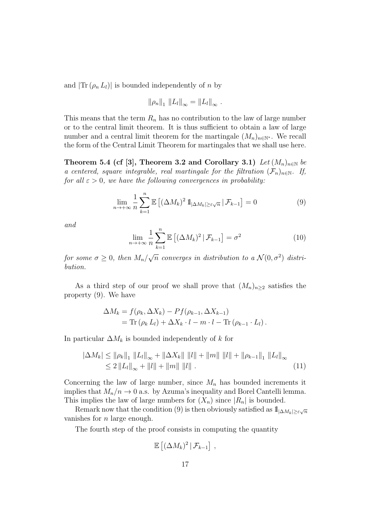and  $|\text{Tr}(\rho_n L_l)|$  is bounded independently of n by

$$
\|\rho_n\|_1 \|L_l\|_{\infty} = \|L_l\|_{\infty} .
$$

This means that the term  $R_n$  has no contribution to the law of large number or to the central limit theorem. It is thus sufficient to obtain a law of large number and a central limit theorem for the martingale  $(M_n)_{n\in\mathbb{N}^*}$ . We recall the form of the Central Limit Theorem for martingales that we shall use here.

Theorem 5.4 (cf [3], Theorem 3.2 and Corollary 3.1) Let  $(M_n)_{n\in\mathbb{N}}$  be a centered, square integrable, real martingale for the filtration  $(\mathcal{F}_n)_{n\in\mathbb{N}}$ . If, for all  $\varepsilon > 0$ , we have the following convergences in probability:

$$
\lim_{n \to +\infty} \frac{1}{n} \sum_{k=1}^{n} \mathbb{E} \left[ (\Delta M_k)^2 \, 1_{|\Delta M_k| \ge \varepsilon \sqrt{n}} \, | \, \mathcal{F}_{k-1} \right] = 0 \tag{9}
$$

and

$$
\lim_{n \to +\infty} \frac{1}{n} \sum_{k=1}^{n} \mathbb{E}\left[ (\Delta M_k)^2 \, | \, \mathcal{F}_{k-1} \right] = \sigma^2 \tag{10}
$$

for some  $\sigma \geq 0$ , then  $M_n/$  $\sqrt{n}$  converges in distribution to a  $\mathcal{N}(0, \sigma^2)$  distribution.

As a third step of our proof we shall prove that  $(M_n)_{n>2}$  satisfies the property (9). We have

$$
\Delta M_k = f(\rho_k, \Delta X_k) - Pf(\rho_{k-1}, \Delta X_{k-1})
$$
  
= Tr  $(\rho_k L_l) + \Delta X_k \cdot l - m \cdot l - Tr(\rho_{k-1} \cdot L_l).$ 

In particular  $\Delta M_k$  is bounded independently of k for

$$
|\Delta M_k| \leq \|\rho_k\|_1 \|L_l\|_{\infty} + \|\Delta X_k\| \|l\| + \|m\| \|l\| + \|\rho_{k-1}\|_1 \|L_l\|_{\infty}
$$
  
\n
$$
\leq 2 \|L_l\|_{\infty} + \|l\| + \|m\| \|l\|.
$$
\n(11)

Concerning the law of large number, since  $M_n$  has bounded increments it implies that  $M_n/n \to 0$  a.s. by Azuma's inequality and Borel Cantelli lemma. This implies the law of large numbers for  $(X_n)$  since  $|R_n|$  is bounded.

Remark now that the condition (9) is then obviously satisfied as  $1\!\!1_{|\Delta M_k|\geq \varepsilon\sqrt{n}}$ vanishes for  $n$  large enough.

The fourth step of the proof consists in computing the quantity

$$
\mathbb{E}\left[ (\Delta M_k)^2 \,|\, \mathcal{F}_{k-1} \right] \,,
$$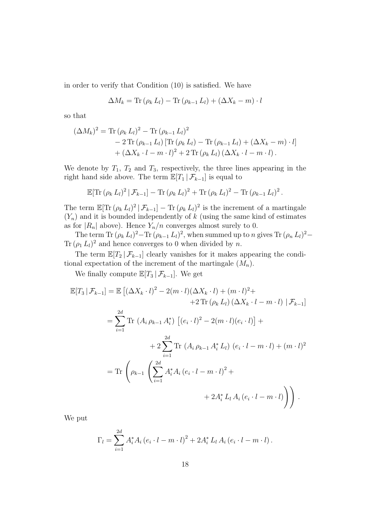in order to verify that Condition (10) is satisfied. We have

$$
\Delta M_k = \text{Tr}(\rho_k L_l) - \text{Tr}(\rho_{k-1} L_l) + (\Delta X_k - m) \cdot l
$$

so that

$$
(\Delta M_k)^2 = \text{Tr} (\rho_k L_l)^2 - \text{Tr} (\rho_{k-1} L_l)^2
$$
  
- 2 \text{Tr} (\rho\_{k-1} L\_l) [\text{Tr} (\rho\_k L\_l) - \text{Tr} (\rho\_{k-1} L\_l) + (\Delta X\_k - m) \cdot l]  
+ (\Delta X\_k \cdot l - m \cdot l)^2 + 2 \text{Tr} (\rho\_k L\_l) (\Delta X\_k \cdot l - m \cdot l).

We denote by  $T_1$ ,  $T_2$  and  $T_3$ , respectively, the three lines appearing in the right hand side above. The term  $\mathbb{E}[T_1 | \mathcal{F}_{k-1}]$  is equal to

$$
\mathbb{E}[\text{Tr}(\rho_k L_l)^2 | \mathcal{F}_{k-1}] - \text{Tr}(\rho_k L_l)^2 + \text{Tr}(\rho_k L_l)^2 - \text{Tr}(\rho_{k-1} L_l)^2.
$$

The term  $\mathbb{E}[\text{Tr}(\rho_k L_l)^2 | \mathcal{F}_{k-1}] - \text{Tr}(\rho_k L_l)^2$  is the increment of a martingale  $(Y_n)$  and it is bounded independently of k (using the same kind of estimates as for  $|R_n|$  above). Hence  $Y_n/n$  converges almost surely to 0.

The term Tr  $(\rho_k L_l)^2 - \text{Tr}(\rho_{k-1} L_l)^2$ , when summed up to n gives Tr  $(\rho_n L_l)^2 -$ Tr  $(\rho_1 L_l)^2$  and hence converges to 0 when divided by n.

The term  $\mathbb{E}[T_2 | \mathcal{F}_{k-1}]$  clearly vanishes for it makes appearing the conditional expectation of the increment of the martingale  $(M_n)$ .

We finally compute  $\mathbb{E}[T_3 \mid \mathcal{F}_{k-1}]$ . We get

$$
\mathbb{E}[T_3 | \mathcal{F}_{k-1}] = \mathbb{E}\left[ (\Delta X_k \cdot l)^2 - 2(m \cdot l)(\Delta X_k \cdot l) + (m \cdot l)^2 + 2 \operatorname{Tr}(\rho_k L_l) (\Delta X_k \cdot l - m \cdot l) | \mathcal{F}_{k-1} \right]
$$
  
\n
$$
= \sum_{i=1}^{2d} \operatorname{Tr} (A_i \rho_{k-1} A_i^*) \left[ (e_i \cdot l)^2 - 2(m \cdot l)(e_i \cdot l) \right] + 2 \sum_{i=1}^{2d} \operatorname{Tr} (A_i \rho_{k-1} A_i^* L_l) (e_i \cdot l - m \cdot l) + (m \cdot l)^2
$$
  
\n
$$
= \operatorname{Tr} \left( \rho_{k-1} \left( \sum_{i=1}^{2d} A_i^* A_i (e_i \cdot l - m \cdot l)^2 + 2 A_i^* L_l A_i (e_i \cdot l - m \cdot l) \right) \right).
$$

We put

$$
\Gamma_l = \sum_{i=1}^{2d} A_i^* A_i (e_i \cdot l - m \cdot l)^2 + 2 A_i^* L_l A_i (e_i \cdot l - m \cdot l).
$$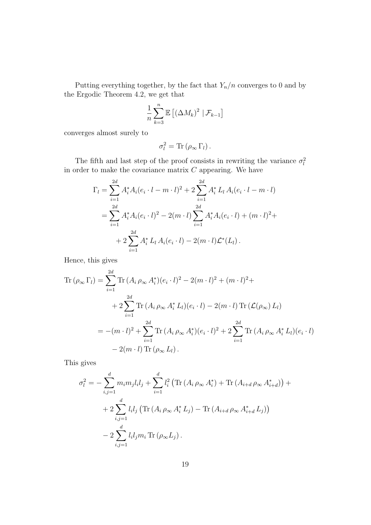Putting everything together, by the fact that  $Y_n/n$  converges to 0 and by the Ergodic Theorem 4.2, we get that

$$
\frac{1}{n}\sum_{k=3}^{n} \mathbb{E}\left[\left(\Delta M_{k}\right)^{2} | \mathcal{F}_{k-1}\right]
$$

converges almost surely to

$$
\sigma_l^2 = \text{Tr} \left( \rho_\infty \, \Gamma_l \right).
$$

The fifth and last step of the proof consists in rewriting the variance  $\sigma_l^2$ in order to make the covariance matrix  $C$  appearing. We have

$$
\Gamma_l = \sum_{i=1}^{2d} A_i^* A_i (e_i \cdot l - m \cdot l)^2 + 2 \sum_{i=1}^{2d} A_i^* L_l A_i (e_i \cdot l - m \cdot l)
$$
  
= 
$$
\sum_{i=1}^{2d} A_i^* A_i (e_i \cdot l)^2 - 2(m \cdot l) \sum_{i=1}^{2d} A_i^* A_i (e_i \cdot l) + (m \cdot l)^2 +
$$
  
+ 
$$
2 \sum_{i=1}^{2d} A_i^* L_l A_i (e_i \cdot l) - 2(m \cdot l) \mathcal{L}^* (L_l).
$$

Hence, this gives

$$
\begin{split} \text{Tr}\left(\rho_{\infty}\,\Gamma_{l}\right) &= \sum_{i=1}^{2d} \text{Tr}\,(A_{i}\,\rho_{\infty}\,A_{i}^{*})(e_{i}\cdot l)^{2} - 2(m\cdot l)^{2} + (m\cdot l)^{2} + \\ &+ 2\sum_{i=1}^{2d} \text{Tr}\,(A_{i}\,\rho_{\infty}\,A_{i}^{*}\,L_{l})(e_{i}\cdot l) - 2(m\cdot l)\,\text{Tr}\,(\mathcal{L}(\rho_{\infty})\,L_{l}) \\ &= -(m\cdot l)^{2} + \sum_{i=1}^{2d} \text{Tr}\,(A_{i}\,\rho_{\infty}\,A_{i}^{*})(e_{i}\cdot l)^{2} + 2\sum_{i=1}^{2d} \text{Tr}\,(A_{i}\,\rho_{\infty}\,A_{i}^{*}\,L_{l})(e_{i}\cdot l) \\ &- 2(m\cdot l)\,\text{Tr}\,(\rho_{\infty}\,L_{l}) \,. \end{split}
$$

This gives

$$
\sigma_l^2 = -\sum_{i,j=1}^d m_i m_j l_i l_j + \sum_{i=1}^d l_i^2 \left( \text{Tr} \left( A_i \rho_\infty A_i^* \right) + \text{Tr} \left( A_{i+d} \rho_\infty A_{i+d}^* \right) \right) +
$$
  
+ 
$$
2 \sum_{i,j=1}^d l_i l_j \left( \text{Tr} \left( A_i \rho_\infty A_i^* L_j \right) - \text{Tr} \left( A_{i+d} \rho_\infty A_{i+d}^* L_j \right) \right)
$$
  
- 
$$
2 \sum_{i,j=1}^d l_i l_j m_i \text{Tr} \left( \rho_\infty L_j \right).
$$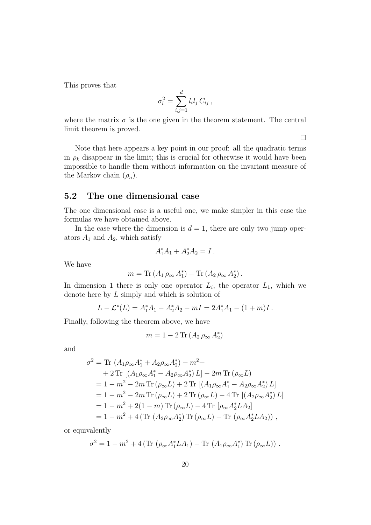This proves that

$$
\sigma_l^2 = \sum_{i,j=1}^d l_i l_j C_{ij},
$$

where the matrix  $\sigma$  is the one given in the theorem statement. The central limit theorem is proved.

 $\Box$ 

Note that here appears a key point in our proof: all the quadratic terms in  $\rho_k$  disappear in the limit; this is crucial for otherwise it would have been impossible to handle them without information on the invariant measure of the Markov chain  $(\rho_n)$ .

#### 5.2 The one dimensional case

The one dimensional case is a useful one, we make simpler in this case the formulas we have obtained above.

In the case where the dimension is  $d = 1$ , there are only two jump operators  $A_1$  and  $A_2$ , which satisfy

$$
A_1^* A_1 + A_2^* A_2 = I.
$$

We have

$$
m = \text{Tr} (A_1 \rho_\infty A_1^*) - \text{Tr} (A_2 \rho_\infty A_2^*) .
$$

In dimension 1 there is only one operator  $L_i$ , the operator  $L_1$ , which we denote here by L simply and which is solution of

$$
L - \mathcal{L}^*(L) = A_1^* A_1 - A_2^* A_2 - mI = 2A_1^* A_1 - (1+m)I.
$$

Finally, following the theorem above, we have

$$
m=1-2\,\mathrm{Tr}\,(A_2\,\rho_\infty\,A_2^*)
$$

and

$$
\sigma^2 = \text{Tr} (A_1 \rho_\infty A_1^* + A_2 \rho_\infty A_2^*) - m^2 +
$$
  
+ 2 \text{Tr} [(A\_1 \rho\_\infty A\_1^\* - A\_2 \rho\_\infty A\_2^\*) L] - 2m \text{Tr} (\rho\_\infty L)  
= 1 - m^2 - 2m \text{Tr} (\rho\_\infty L) + 2 \text{Tr} [(A\_1 \rho\_\infty A\_1^\* - A\_2 \rho\_\infty A\_2^\*) L]  
= 1 - m^2 - 2m \text{Tr} (\rho\_\infty L) + 2 \text{Tr} (\rho\_\infty L) - 4 \text{Tr} [(A\_2 \rho\_\infty A\_2^\*) L]  
= 1 - m^2 + 2(1 - m) \text{Tr} (\rho\_\infty L) - 4 \text{Tr} [\rho\_\infty A\_2^\* L A\_2]  
= 1 - m^2 + 4 (\text{Tr} (A\_2 \rho\_\infty A\_2^\*) \text{Tr} (\rho\_\infty L) - \text{Tr} (\rho\_\infty A\_2^\* L A\_2)),

or equivalently

$$
\sigma^{2} = 1 - m^{2} + 4 \left( \text{Tr} \left( \rho_{\infty} A_{1}^{*} L A_{1} \right) - \text{Tr} \left( A_{1} \rho_{\infty} A_{1}^{*} \right) \text{Tr} \left( \rho_{\infty} L \right) \right).
$$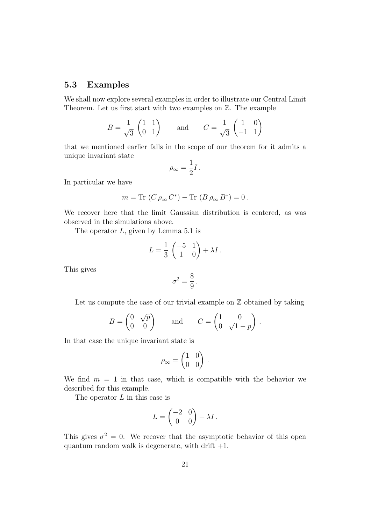#### 5.3 Examples

We shall now explore several examples in order to illustrate our Central Limit Theorem. Let us first start with two examples on Z. The example

$$
B = \frac{1}{\sqrt{3}} \begin{pmatrix} 1 & 1 \\ 0 & 1 \end{pmatrix} \quad \text{and} \quad C = \frac{1}{\sqrt{3}} \begin{pmatrix} 1 & 0 \\ -1 & 1 \end{pmatrix}
$$

that we mentioned earlier falls in the scope of our theorem for it admits a unique invariant state

$$
\rho_\infty=\frac{1}{2}I\,.
$$

In particular we have

$$
m = \text{Tr}(C \rho_{\infty} C^*) - \text{Tr}(B \rho_{\infty} B^*) = 0.
$$

We recover here that the limit Gaussian distribution is centered, as was observed in the simulations above.

The operator  $L$ , given by Lemma 5.1 is

$$
L = \frac{1}{3} \begin{pmatrix} -5 & 1 \\ 1 & 0 \end{pmatrix} + \lambda I.
$$

This gives

$$
\sigma^2 = \frac{8}{9}.
$$

Let us compute the case of our trivial example on  $\mathbb Z$  obtained by taking

$$
B = \begin{pmatrix} 0 & \sqrt{p} \\ 0 & 0 \end{pmatrix} \quad \text{and} \quad C = \begin{pmatrix} 1 & 0 \\ 0 & \sqrt{1-p} \end{pmatrix}.
$$

In that case the unique invariant state is

$$
\rho_{\infty} = \begin{pmatrix} 1 & 0 \\ 0 & 0 \end{pmatrix} .
$$

We find  $m = 1$  in that case, which is compatible with the behavior we described for this example.

The operator  $L$  in this case is

$$
L = \begin{pmatrix} -2 & 0 \\ 0 & 0 \end{pmatrix} + \lambda I \, .
$$

This gives  $\sigma^2 = 0$ . We recover that the asymptotic behavior of this open quantum random walk is degenerate, with drift  $+1$ .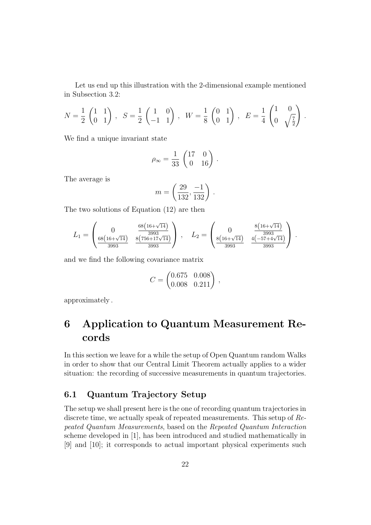Let us end up this illustration with the 2-dimensional example mentioned in Subsection 3.2:

$$
N = \frac{1}{2} \begin{pmatrix} 1 & 1 \\ 0 & 1 \end{pmatrix}, S = \frac{1}{2} \begin{pmatrix} 1 & 0 \\ -1 & 1 \end{pmatrix}, W = \frac{1}{8} \begin{pmatrix} 0 & 1 \\ 0 & 1 \end{pmatrix}, E = \frac{1}{4} \begin{pmatrix} 1 & 0 \\ 0 & \sqrt{\frac{7}{2}} \end{pmatrix}.
$$

We find a unique invariant state

$$
\rho_{\infty} = \frac{1}{33} \begin{pmatrix} 17 & 0 \\ 0 & 16 \end{pmatrix}.
$$

The average is

$$
m = \left(\frac{29}{132}, \frac{-1}{132}\right).
$$

The two solutions of Equation (12) are then

$$
L_1 = \begin{pmatrix} 0 & \frac{68(16+\sqrt{14})}{3993} \\ \frac{68(16+\sqrt{14})}{3993} & \frac{8(756+17\sqrt{14})}{3993} \end{pmatrix}, \quad L_2 = \begin{pmatrix} 0 & \frac{8(16+\sqrt{14})}{3993} \\ \frac{8(16+\sqrt{14})}{3993} & \frac{4(-57+4\sqrt{14})}{3993} \end{pmatrix}.
$$

and we find the following covariance matrix

$$
C = \begin{pmatrix} 0.675 & 0.008 \\ 0.008 & 0.211 \end{pmatrix},
$$

approximately .

## 6 Application to Quantum Measurement Records

In this section we leave for a while the setup of Open Quantum random Walks in order to show that our Central Limit Theorem actually applies to a wider situation: the recording of successive measurements in quantum trajectories.

### 6.1 Quantum Trajectory Setup

The setup we shall present here is the one of recording quantum trajectories in discrete time, we actually speak of repeated measurements. This setup of Repeated Quantum Measurements, based on the Repeated Quantum Interaction scheme developed in [1], has been introduced and studied mathematically in [9] and [10]; it corresponds to actual important physical experiments such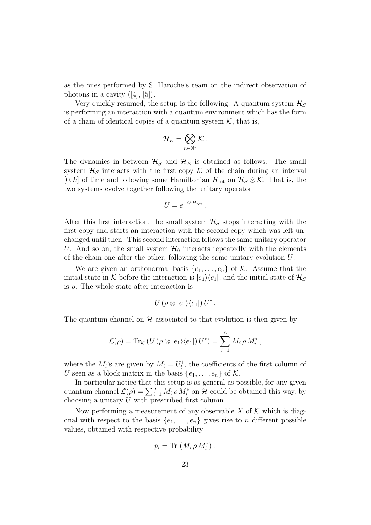as the ones performed by S. Haroche's team on the indirect observation of photons in a cavity  $([4], [5])$ .

Very quickly resumed, the setup is the following. A quantum system  $\mathcal{H}_S$ is performing an interaction with a quantum environment which has the form of a chain of identical copies of a quantum system  $K$ , that is,

$$
\mathcal{H}_E=\bigotimes_{n\in\mathbb{N}^*}\mathcal{K}\,.
$$

The dynamics in between  $\mathcal{H}_S$  and  $\mathcal{H}_E$  is obtained as follows. The small system  $\mathcal{H}_S$  interacts with the first copy K of the chain during an interval [0, h] of time and following some Hamiltonian  $H_{\text{tot}}$  on  $\mathcal{H}_{S} \otimes \mathcal{K}$ . That is, the two systems evolve together following the unitary operator

$$
U = e^{-ihH_{\text{tot}}}\,.
$$

After this first interaction, the small system  $\mathcal{H}_S$  stops interacting with the first copy and starts an interaction with the second copy which was left unchanged until then. This second interaction follows the same unitary operator U. And so on, the small system  $\mathcal{H}_0$  interacts repeatedly with the elements of the chain one after the other, following the same unitary evolution U.

We are given an orthonormal basis  $\{e_1, \ldots, e_n\}$  of K. Assume that the initial state in K before the interaction is  $|e_1\rangle\langle e_1|$ , and the initial state of  $\mathcal{H}_S$ is  $\rho$ . The whole state after interaction is

$$
U(\rho\otimes|e_1\rangle\langle e_1|)U^*.
$$

The quantum channel on  $\mathcal H$  associated to that evolution is then given by

$$
\mathcal{L}(\rho) = \text{Tr}_{\mathcal{K}} \left( U \left( \rho \otimes |e_1\rangle \langle e_1| \right) U^* \right) = \sum_{i=1}^n M_i \, \rho \, M_i^*,
$$

where the  $M_i$ 's are given by  $M_i = U_i^1$ , the coefficients of the first column of U seen as a block matrix in the basis  $\{e_1, \ldots, e_n\}$  of K.

In particular notice that this setup is as general as possible, for any given quantum channel  $\mathcal{L}(\rho) = \sum_{i=1}^n M_i \rho M_i^*$  on  $\mathcal{H}$  could be obtained this way, by choosing a unitary U with prescribed first column.

Now performing a measurement of any observable  $X$  of  $K$  which is diagonal with respect to the basis  $\{e_1, \ldots, e_n\}$  gives rise to n different possible values, obtained with respective probability

$$
p_i = \text{Tr} (M_i \rho M_i^*) .
$$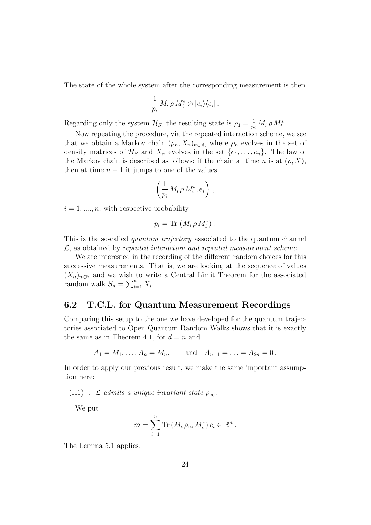The state of the whole system after the corresponding measurement is then

$$
\frac{1}{p_i} M_i \, \rho \, M_i^* \otimes |e_i\rangle\langle e_i| \, .
$$

Regarding only the system  $\mathcal{H}_S$ , the resulting state is  $\rho_1 = \frac{1}{p_i} M_i \rho M_i^*$ .

Now repeating the procedure, via the repeated interaction scheme, we see that we obtain a Markov chain  $(\rho_n, X_n)_{n \in \mathbb{N}}$ , where  $\rho_n$  evolves in the set of density matrices of  $\mathcal{H}_S$  and  $X_n$  evolves in the set  $\{e_1, \ldots, e_n\}$ . The law of the Markov chain is described as follows: if the chain at time n is at  $(\rho, X)$ , then at time  $n + 1$  it jumps to one of the values

$$
\left(\frac{1}{p_i} M_i \rho M_i^*, e_i\right) ,
$$

 $i = 1, \ldots, n$ , with respective probability

$$
p_i = \text{Tr} (M_i \rho M_i^*) .
$$

This is the so-called *quantum trajectory* associated to the quantum channel  $\mathcal{L}$ , as obtained by repeated interaction and repeated measurement scheme.

We are interested in the recording of the different random choices for this successive measurements. That is, we are looking at the sequence of values  $(X_n)_{n\in\mathbb{N}}$  and we wish to write a Central Limit Theorem for the associated random walk  $S_n = \sum_{i=1}^n X_i$ .

#### 6.2 T.C.L. for Quantum Measurement Recordings

Comparing this setup to the one we have developed for the quantum trajectories associated to Open Quantum Random Walks shows that it is exactly the same as in Theorem 4.1, for  $d = n$  and

$$
A_1 = M_1, ..., A_n = M_n
$$
, and  $A_{n+1} = ... = A_{2n} = 0$ .

In order to apply our previous result, we make the same important assumption here:

(H1) :  $\mathcal L$  admits a unique invariant state  $\rho_{\infty}$ .

We put

$$
m = \sum_{i=1}^{n} \text{Tr}\left(M_i \rho_{\infty} M_i^*\right) e_i \in \mathbb{R}^n.
$$

The Lemma 5.1 applies.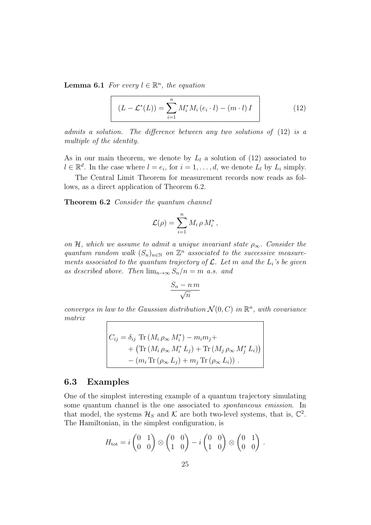**Lemma 6.1** For every  $l \in \mathbb{R}^n$ , the equation

$$
(L - \mathcal{L}^*(L)) = \sum_{i=1}^n M_i^* M_i (e_i \cdot l) - (m \cdot l) I \qquad (12)
$$

admits a solution. The difference between any two solutions of (12) is a multiple of the identity.

As in our main theorem, we denote by  $L_l$  a solution of (12) associated to  $l \in \mathbb{R}^d$ . In the case where  $l = e_i$ , for  $i = 1, \ldots, d$ , we denote  $L_l$  by  $L_i$  simply.

The Central Limit Theorem for measurement records now reads as follows, as a direct application of Theorem 6.2.

Theorem 6.2 Consider the quantum channel

$$
\mathcal{L}(\rho) = \sum_{i=1}^n M_i \rho M_i^*,
$$

on H, which we assume to admit a unique invariant state  $\rho_{\infty}$ . Consider the quantum random walk  $(S_n)_{n\in\mathbb{N}}$  on  $\mathbb{Z}^n$  associated to the successive measurements associated to the quantum trajectory of  $\mathcal{L}$ . Let m and the  $L_i$ 's be given as described above. Then  $\lim_{n\to\infty} S_n/n = m$  a.s. and

$$
\frac{S_n - n \, m}{\sqrt{n}}
$$

converges in law to the Gaussian distribution  $\mathcal{N}(0, C)$  in  $\mathbb{R}^n$ , with covariance matrix

$$
C_{ij} = \delta_{ij} \operatorname{Tr} (M_i \rho_{\infty} M_i^*) - m_i m_j +
$$
  
+ (\operatorname{Tr} (M\_i \rho\_{\infty} M\_i^\* L\_j) + \operatorname{Tr} (M\_j \rho\_{\infty} M\_j^\* L\_i))  
- (m\_i \operatorname{Tr} (\rho\_{\infty} L\_j) + m\_j \operatorname{Tr} (\rho\_{\infty} L\_i)).

#### 6.3 Examples

One of the simplest interesting example of a quantum trajectory simulating some quantum channel is the one associated to spontaneous emission. In that model, the systems  $\mathcal{H}_S$  and  $\mathcal K$  are both two-level systems, that is,  $\mathbb C^2$ . The Hamiltonian, in the simplest configuration, is

$$
H_{\text{tot}} = i \begin{pmatrix} 0 & 1 \\ 0 & 0 \end{pmatrix} \otimes \begin{pmatrix} 0 & 0 \\ 1 & 0 \end{pmatrix} - i \begin{pmatrix} 0 & 0 \\ 1 & 0 \end{pmatrix} \otimes \begin{pmatrix} 0 & 1 \\ 0 & 0 \end{pmatrix}.
$$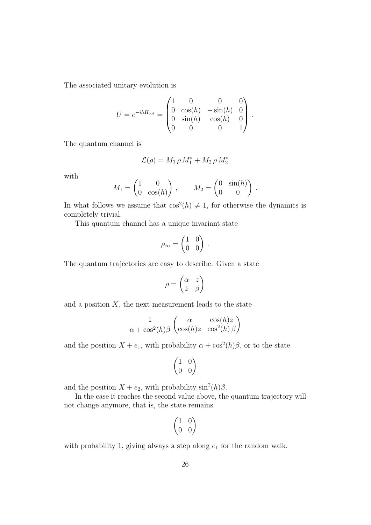The associated unitary evolution is

$$
U = e^{-ihH_{\text{tot}}} = \begin{pmatrix} 1 & 0 & 0 & 0 \\ 0 & \cos(h) & -\sin(h) & 0 \\ 0 & \sin(h) & \cos(h) & 0 \\ 0 & 0 & 0 & 1 \end{pmatrix}.
$$

The quantum channel is

$$
\mathcal{L}(\rho) = M_1 \rho M_1^* + M_2 \rho M_2^*
$$

with

$$
M_1 = \begin{pmatrix} 1 & 0 \\ 0 & \cos(h) \end{pmatrix}, \qquad M_2 = \begin{pmatrix} 0 & \sin(h) \\ 0 & 0 \end{pmatrix}
$$

.

In what follows we assume that  $\cos^2(h) \neq 1$ , for otherwise the dynamics is completely trivial.

This quantum channel has a unique invariant state

$$
\rho_{\infty} = \begin{pmatrix} 1 & 0 \\ 0 & 0 \end{pmatrix} \, .
$$

The quantum trajectories are easy to describe. Given a state

$$
\rho = \begin{pmatrix} \alpha & z \\ \overline{z} & \beta \end{pmatrix}
$$

and a position  $X$ , the next measurement leads to the state

$$
\frac{1}{\alpha + \cos^2(h)\beta} \begin{pmatrix} \alpha & \cos(h)z \\ \cos(h)\overline{z} & \cos^2(h)\beta \end{pmatrix}
$$

and the position  $X + e_1$ , with probability  $\alpha + \cos^2(h)\beta$ , or to the state

$$
\begin{pmatrix} 1 & 0 \\ 0 & 0 \end{pmatrix}
$$

and the position  $X + e_2$ , with probability  $\sin^2(h)\beta$ .

In the case it reaches the second value above, the quantum trajectory will not change anymore, that is, the state remains

$$
\begin{pmatrix} 1 & 0 \\ 0 & 0 \end{pmatrix}
$$

with probability 1, giving always a step along  $e_1$  for the random walk.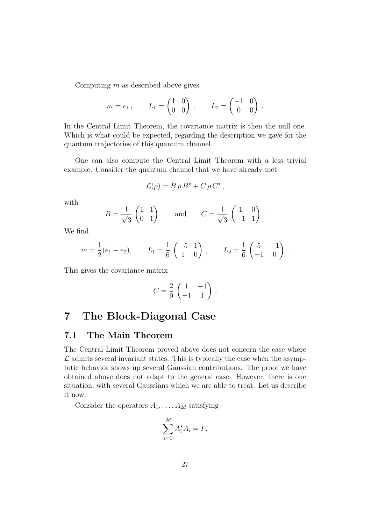Computing  $m$  as described above gives

$$
m = e_1
$$
,  $L_1 = \begin{pmatrix} 1 & 0 \\ 0 & 0 \end{pmatrix}$ ,  $L_2 = \begin{pmatrix} -1 & 0 \\ 0 & 0 \end{pmatrix}$ .

In the Central Limit Theorem, the covariance matrix is then the null one. Which is what could be expected, regarding the description we gave for the quantum trajectories of this quantum channel.

One can also compute the Central Limit Theorem with a less trivial example. Consider the quantum channel that we have already met

$$
\mathcal{L}(\rho) = B \rho B^* + C \rho C^*,
$$

with

$$
B = \frac{1}{\sqrt{3}} \begin{pmatrix} 1 & 1 \\ 0 & 1 \end{pmatrix} \quad \text{and} \quad C = \frac{1}{\sqrt{3}} \begin{pmatrix} 1 & 0 \\ -1 & 1 \end{pmatrix}.
$$

We find

$$
m = \frac{1}{2}(e_1 + e_2),
$$
  $L_1 = \frac{1}{6} \begin{pmatrix} -5 & 1 \\ 1 & 0 \end{pmatrix},$   $L_2 = \frac{1}{6} \begin{pmatrix} 5 & -1 \\ -1 & 0 \end{pmatrix}.$ 

This gives the covariance matrix

$$
C = \frac{2}{9} \begin{pmatrix} 1 & -1 \\ -1 & 1 \end{pmatrix}.
$$

### 7 The Block-Diagonal Case

#### 7.1 The Main Theorem

The Central Limit Theorem proved above does not concern the case where  $\mathcal L$  admits several invariant states. This is typically the case when the asymptotic behavior shows up several Gaussian contributions. The proof we have obtained above does not adapt to the general case. However, there is one situation, with several Gaussians which we are able to treat. Let us describe it now.

Consider the operators  $A_1, \ldots, A_{2d}$  satisfying

$$
\sum_{i=1}^{2d} A_i^* A_i = I,
$$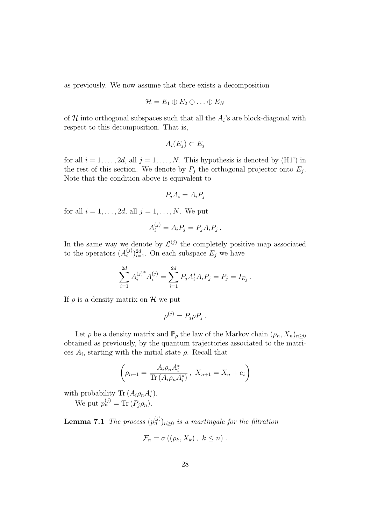as previously. We now assume that there exists a decomposition

$$
\mathcal{H}=E_1\oplus E_2\oplus\ldots\oplus E_N
$$

of  $\mathcal H$  into orthogonal subspaces such that all the  $A_i$ 's are block-diagonal with respect to this decomposition. That is,

$$
A_i(E_j) \subset E_j
$$

for all  $i = 1, \ldots, 2d$ , all  $j = 1, \ldots, N$ . This hypothesis is denoted by (H1') in the rest of this section. We denote by  $P_j$  the orthogonal projector onto  $E_j$ . Note that the condition above is equivalent to

$$
P_j A_i = A_i P_j
$$

for all  $i = 1, \ldots, 2d$ , all  $j = 1, \ldots, N$ . We put

$$
A_i^{(j)} = A_i P_j = P_j A_i P_j.
$$

In the same way we denote by  $\mathcal{L}^{(j)}$  the completely positive map associated to the operators  $(A_i^{(j)})$  $\binom{(j)}{i}$ <sub> $i=1$ </sub>. On each subspace  $E_j$  we have

$$
\sum_{i=1}^{2d} A_i^{(j)*} A_i^{(j)} = \sum_{i=1}^{2d} P_j A_i^* A_i P_j = P_j = I_{E_j}.
$$

If  $\rho$  is a density matrix on H we put

$$
\rho^{(j)} = P_j \rho P_j.
$$

Let  $\rho$  be a density matrix and  $\mathbb{P}_{\rho}$  the law of the Markov chain  $(\rho_n, X_n)_{n>0}$ obtained as previously, by the quantum trajectories associated to the matrices  $A_i$ , starting with the initial state  $\rho$ . Recall that

$$
\left(\rho_{n+1} = \frac{A_i \rho_n A_i^*}{\text{Tr}\left(A_i \rho_n A_i^*\right)}, X_{n+1} = X_n + e_i\right)
$$

with probability Tr  $(A_i \rho_n A_i^*)$ .

We put  $p_n^{(j)} = \text{Tr} (P_j \rho_n)$ .

**Lemma 7.1** The process  $(p_n^{(j)})_{n\geq 0}$  is a martingale for the filtration

$$
\mathcal{F}_n = \sigma\left((\rho_k, X_k), k \leq n\right).
$$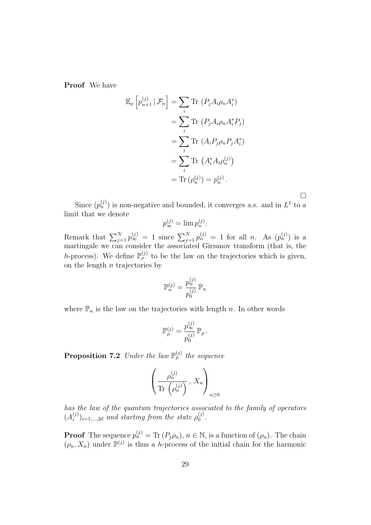Proof We have

$$
\mathbb{E}_{\rho}\left[p_{n+1}^{(j)}\,|\,\mathcal{F}_{n}\right] = \sum_{i} \text{Tr}\left(P_{j}A_{i}\rho_{n}A_{i}^{*}\right)
$$

$$
= \sum_{i} \text{Tr}\left(P_{j}A_{i}\rho_{n}A_{i}^{*}P_{j}\right)
$$

$$
= \sum_{i} \text{Tr}\left(A_{i}P_{j}\rho_{n}P_{j}A_{i}^{*}\right)
$$

$$
= \sum_{i} \text{Tr}\left(A_{i}^{*}A_{i}\rho_{n}^{(j)}\right)
$$

$$
= \text{Tr}\left(\rho_{n}^{(j)}\right) = p_{n}^{(j)}.
$$

Since  $(p_n^{(j)})$  is non-negative and bounded, it converges a.s. and in  $L^1$  to a limit that we denote

 $\Box$ 

$$
p_{\infty}^{(j)} = \lim p_n^{(j)}.
$$

Remark that  $\sum_{j=1}^{N} p_{\infty}^{(j)} = 1$  since  $\sum_{j=1}^{N} p_{n}^{(j)} = 1$  for all *n*. As  $(p_{n}^{(j)})$  is a martingale we can consider the associated Girsanov transform (that is, the h-process). We define  $\mathbb{P}_{\rho}^{(j)}$  to be the law on the trajectories which is given, on the length  $n$  trajectories by

$$
\mathbb{P}_n^{(j)} = \frac{p_n^{(j)}}{p_0^{(j)}} \mathbb{P}_n
$$

where  $\mathbb{P}_n$  is the law on the trajectories with length n. In other words

$$
\mathbb{P}_{\rho}^{(j)} = \frac{p_{\infty}^{(j)}}{p_0^{(j)}} \mathbb{P}_{\rho}.
$$

**Proposition 7.2** Under the law  $\mathbb{P}_{\rho}^{(j)}$  the sequence

$$
\left(\frac{\rho_n^{(j)}}{\text{Tr}\left(\rho_n^{(j)}\right)}, X_n\right)_{n\geq 0}
$$

has the law of the quantum trajectories associated to the family of operators  $(A_i^{(j)}$  $\hat{h}^{(j)}_{i})_{i=1,\dots,2d}$  and starting from the state  $\rho_0^{(j)}$  $\mathbf{I}_{0}^{(j)}$  .

**Proof** The sequence  $p_n^{(j)} = \text{Tr} (P_j \rho_n), n \in \mathbb{N}$ , is a function of  $(\rho_n)$ . The chain  $(\rho_n, X_n)$  under  $\mathbb{P}^{(j)}$  is thus a *h*-process of the initial chain for the harmonic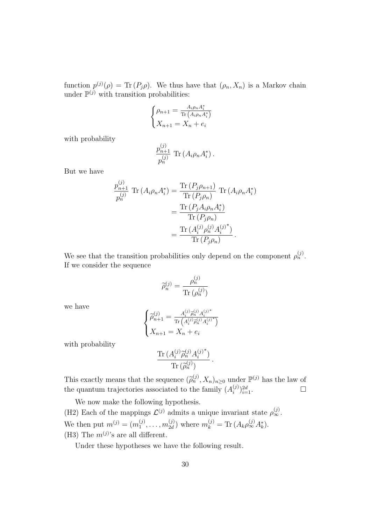function  $p^{(j)}(\rho) = \text{Tr} (P_j \rho)$ . We thus have that  $(\rho_n, X_n)$  is a Markov chain under  $\mathbb{P}^{(j)}$  with transition probabilities:

$$
\begin{cases} \rho_{n+1} = \frac{A_i \rho_n A_i^*}{\text{Tr}\left(A_i \rho_n A_i^*\right)} \\ X_{n+1} = X_n + e_i \end{cases}
$$

with probability

$$
\frac{p_{n+1}^{(j)}}{p_n^{(j)}} \, \text{Tr} \left( A_i \rho_n A_i^* \right).
$$

But we have

$$
\frac{p_{n+1}^{(j)}}{p_n^{(j)}} \operatorname{Tr} \left( A_i \rho_n A_i^* \right) = \frac{\operatorname{Tr} \left( P_j \rho_{n+1} \right)}{\operatorname{Tr} \left( P_j \rho_n \right)} \operatorname{Tr} \left( A_i \rho_n A_i^* \right)
$$

$$
= \frac{\operatorname{Tr} \left( P_j A_i \rho_n A_i^* \right)}{\operatorname{Tr} \left( P_j \rho_n \right)}
$$

$$
= \frac{\operatorname{Tr} \left( A_i^{(j)} \rho_n^{(j)} A_i^{(j)^*} \right)}{\operatorname{Tr} \left( P_j \rho_n \right)}.
$$

We see that the transition probabilities only depend on the component  $\rho_n^{(j)}$ . If we consider the sequence

$$
\widetilde{\rho}_n^{(j)} = \frac{\rho_n^{(j)}}{\text{Tr}\left(\rho_n^{(j)}\right)}
$$

we have

$$
\begin{cases} \widetilde{\rho}_{n+1}^{(j)}=\frac{A_i^{(j)}\widetilde{\rho}_n^{(j)}A_i^{(j)^*}}{\text{Tr}\left(A_i^{(j)}\widetilde{\rho}_n^{(j)}A_i^{(j)^*}\right)}\\ X_{n+1}=X_n+e_i \end{cases}
$$

with probability

$$
\frac{\operatorname{Tr}\left(A_i^{(j)}\widetilde{\rho}_n^{(j)}A_i^{(j)*}\right)}{\operatorname{Tr}\left(\widetilde{\rho}_n^{(j)}\right)}
$$

.

This exactly means that the sequence  $(\widetilde{\rho}_n^{(j)}, X_n)_{n \geq 0}$  under  $\mathbb{P}^{(j)}$  has the law of the quantum trajectories associated to the family  $(A_i^{(j)})$  $\sum_{i=1}^{(j)}\}_{i=1}^{2d}$ .

We now make the following hypothesis. (H2) Each of the mappings  $\mathcal{L}^{(j)}$  admits a unique invariant state  $\rho_{\infty}^{(j)}$ . We then put  $m^{(j)} = (m_1^{(j)})$  $\binom{(j)}{1}, \ldots, m_{2d}^{(j)}$  $p_{2d}^{(j)}$ ) where  $m_k^{(j)} = \text{Tr} (A_k \rho_{\infty}^{(j)} A_k^*).$ (H3) The  $m^{(j)}$ 's are all different.

Under these hypotheses we have the following result.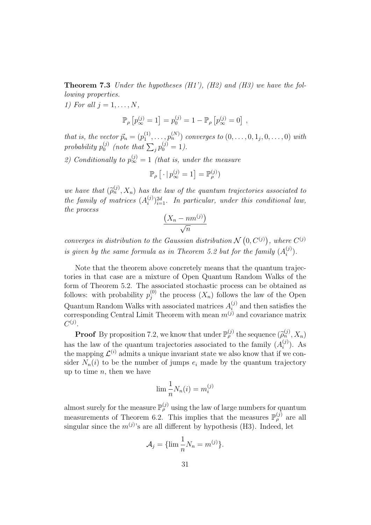**Theorem 7.3** Under the hypotheses  $(H1')$ ,  $(H2)$  and  $(H3)$  we have the following properties.

1) For all  $j = 1, \ldots, N$ ,

$$
\mathbb{P}_{\rho}\left[p_{\infty}^{(j)}=1\right]=p_0^{(j)}=1-\mathbb{P}_{\rho}\left[p_{\infty}^{(j)}=0\right],
$$

that is, the vector  $\vec{p}_n = (p_1^{(1)})$  $p_1^{(1)}, \ldots, p_n^{(N)}$  converges to  $(0, \ldots, 0, 1_j, 0, \ldots, 0)$  with  $probability p_0^{(j)}$  $_{0}^{(j)}$  (note that  $\sum_{j} p_{0}^{(j)} = 1$ ).

2) Conditionally to  $p_{\infty}^{(j)} = 1$  (that is, under the measure

$$
\mathbb{P}_{\rho}\left[\cdot\,|\,p_{\infty}^{(j)}=1\right]=\mathbb{P}_{\rho}^{(j)})
$$

we have that  $(\widetilde{\rho}_n^{(j)}, X_n)$  has the law of the quantum trajectories associated to<br>the family of matrices  $(A^{(j)})^{2d}$  . In matricular, and in this conditional law the family of matrices  $(A_i^{(j)})$  $\sum_{i=1}^{(j)}$   $\sum_{i=1}^{2d}$ . In particular, under this conditional law, the process

$$
\frac{(X_n - nm^{(j)})}{\sqrt{n}}
$$

converges in distribution to the Gaussian distribution  $N(0, C^{(j)})$ , where  $C^{(j)}$ is given by the same formula as in Theorem 5.2 but for the family  $(A_i^{(j)})$  $\binom{(J)}{i}$ .

Note that the theorem above concretely means that the quantum trajectories in that case are a mixture of Open Quantum Random Walks of the form of Theorem 5.2. The associated stochastic process can be obtained as follows: with probability  $p_j^{(0)}$  $j^{(0)}_j$  the process  $(X_n)$  follows the law of the Open Quantum Random Walks with associated matrices  $A_i^{(j)}$  $i^{(j)}$  and then satisfies the corresponding Central Limit Theorem with mean  $m^{(j)}$  and covariance matrix  $C^{(j)}$ .

**Proof** By proposition 7.2, we know that under  $\mathbb{P}_{\rho}^{(j)}$  the sequence  $(\widetilde{\rho}_n^{(j)}, X_n)$ has the law of the quantum trajectories associated to the family  $(A_i^{(j)})$  $i^{(j)}$ ). As the mapping  $\mathcal{L}^{(i)}$  admits a unique invariant state we also know that if we consider  $N_n(i)$  to be the number of jumps  $e_i$  made by the quantum trajectory up to time  $n$ , then we have

$$
\lim \frac{1}{n} N_n(i) = m_i^{(j)}
$$

almost surely for the measure  $\mathbb{P}_{\rho}^{(j)}$  using the law of large numbers for quantum measurements of Theorem 6.2. This implies that the measures  $\mathbb{P}_{\rho}^{(j)}$  are all singular since the  $m^{(j)}$ 's are all different by hypothesis (H3). Indeed, let

$$
\mathcal{A}_j = \{\lim \frac{1}{n} N_n = m^{(j)}\}.
$$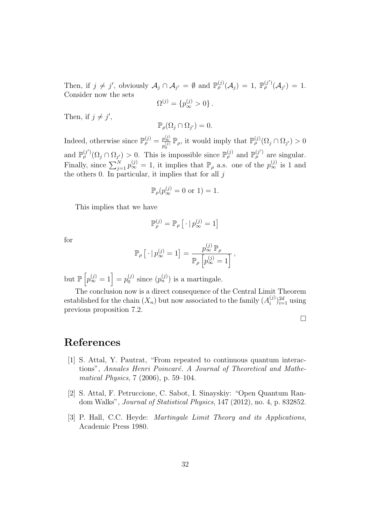Then, if  $j \neq j'$ , obviously  $\mathcal{A}_j \cap \mathcal{A}_{j'} = \emptyset$  and  $\mathbb{P}_\rho^{(j)}(\mathcal{A}_j) = 1$ ,  $\mathbb{P}_\rho^{(j')}(\mathcal{A}_{j'}) = 1$ . Consider now the sets

$$
\Omega^{(j)} = \{p_{\infty}^{(j)} > 0\}.
$$

Then, if  $j \neq j'$ ,

$$
\mathbb{P}_{\rho}(\Omega_j \cap \Omega_{j'}) = 0.
$$

Indeed, otherwise since  $\mathbb{P}_{\rho}^{(j)} = \frac{p_{\infty}^{(j)}}{(\gamma)}$  $p_{\rho}^{\frac{p(x)}{(x)}} \mathbb{P}_{\rho}$ , it would imply that  $\mathbb{P}_{\rho}^{(j)}(\Omega_j \cap \Omega_{j'}) > 0$ and  $\mathbb{P}_{\rho}^{(j')}(\Omega_j \cap \Omega_{j'}) > 0$ . This is impossible since  $\mathbb{P}_{\rho}^{(j)}$  and  $\mathbb{P}_{\rho}^{(j')}$  are singular. Finally, since  $\sum_{j=1}^{N} p_{\infty}^{(j)} = 1$ , it implies that  $\mathbb{P}_{\rho}$  a.s. one of the  $p_{\infty}^{(j)}$  is 1 and the others 0. In particular, it implies that for all  $j$ 

$$
\mathbb{P}_{\rho}(p_{\infty}^{(j)}=0 \text{ or } 1)=1.
$$

This implies that we have

$$
\mathbb{P}^{(j)}_\rho = \mathbb{P}_\rho \left[ \, \cdot \, | \, p_\infty^{(j)} = 1 \right]
$$

for

$$
\mathbb{P}_{\rho}\left[\cdot | p_{\infty}^{(j)}=1\right]=\frac{p_{\infty}^{(j)}\mathbb{P}_{\rho}}{\mathbb{P}_{\rho}\left[p_{\infty}^{(j)}=1\right]},
$$

but  $\mathbb{P}\left[p_{\infty}^{(j)}=1\right]=p_0^{(j)}$  $\binom{(j)}{0}$  since  $\left(p_n^{(j)}\right)$  is a martingale.

The conclusion now is a direct consequence of the Central Limit Theorem established for the chain  $(X_n)$  but now associated to the family  $(A_i^{(j)})$  $\binom{(j)}{i}^{2d}_{i=1}$  using previous proposition 7.2.

 $\Box$ 

### References

- [1] S. Attal, Y. Pautrat, "From repeated to continuous quantum interactions", Annales Henri Poincaré. A Journal of Theoretical and Mathematical Physics, 7 (2006), p. 59–104.
- [2] S. Attal, F. Petruccione, C. Sabot, I. Sinayskiy: "Open Quantum Random Walks", Journal of Statistical Physics, 147 (2012), no. 4, p. 832852.
- [3] P. Hall, C.C. Heyde: Martingale Limit Theory and its Applications, Academic Press 1980.